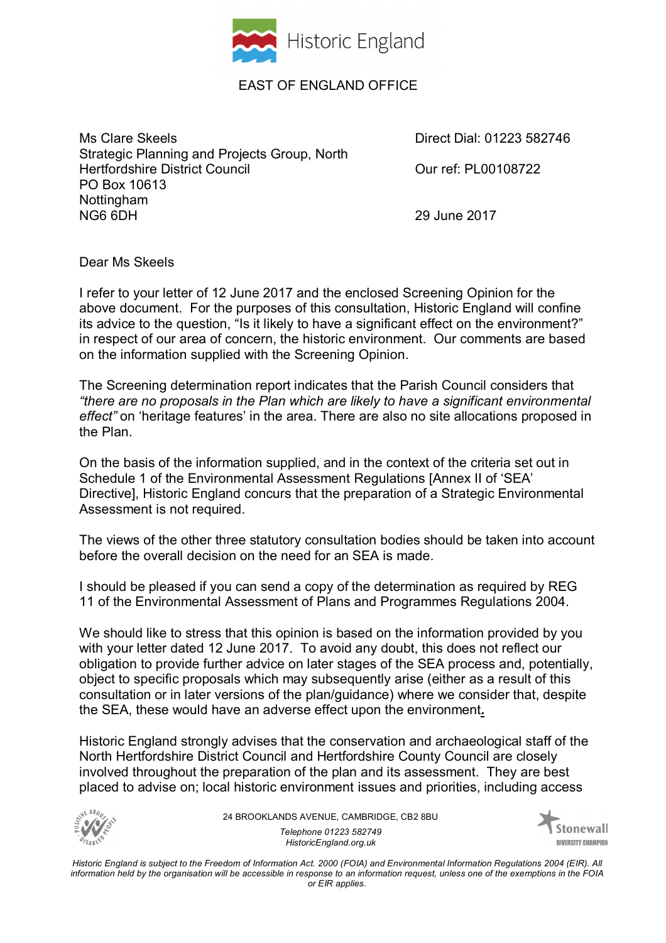

## EAST OF ENGLAND OFFICE

Ms Clare Skeels **Direct Dial: 01223 582746** Strategic Planning and Projects Group, North Hertfordshire District Council **District Council** Curref: PL00108722 PO Box 10613 Nottingham<br>NG6 6DH

29 June 2017

Dear Ms Skeels

I refer to your letter of 12 June 2017 and the enclosed Screening Opinion for the above document. For the purposes of this consultation, Historic England will confine its advice to the question, "Is it likely to have a significant effect on the environment?" in respect of our area of concern, the historic environment. Our comments are based on the information supplied with the Screening Opinion.

The Screening determination report indicates that the Parish Council considers that *"there are no proposals in the Plan which are likely to have a significant environmental effect"* on 'heritage features' in the area. There are also no site allocations proposed in the Plan.

On the basis of the information supplied, and in the context of the criteria set out in Schedule 1 of the Environmental Assessment Regulations [Annex II of 'SEA' Directive], Historic England concurs that the preparation of a Strategic Environmental Assessment is not required.

The views of the other three statutory consultation bodies should be taken into account before the overall decision on the need for an SEA is made.

I should be pleased if you can send a copy of the determination as required by REG 11 of the Environmental Assessment of Plans and Programmes Regulations 2004.

We should like to stress that this opinion is based on the information provided by you with your letter dated 12 June 2017. To avoid any doubt, this does not reflect our obligation to provide further advice on later stages of the SEA process and, potentially, object to specific proposals which may subsequently arise (either as a result of this consultation or in later versions of the plan/guidance) where we consider that, despite the SEA, these would have an adverse effect upon the environment**.** 

Historic England strongly advises that the conservation and archaeological staff of the North Hertfordshire District Council and Hertfordshire County Council are closely involved throughout the preparation of the plan and its assessment. They are best placed to advise on; local historic environment issues and priorities, including access



24 BROOKLANDS AVENUE, CAMBRIDGE, CB2 8BU *Telephone 01223 582749 HistoricEngland.org.uk*



*Historic England is subject to the Freedom of Information Act. 2000 (FOIA) and Environmental Information Regulations 2004 (EIR). All information held by the organisation will be accessible in response to an information request, unless one of the exemptions in the FOIA or EIR applies.*